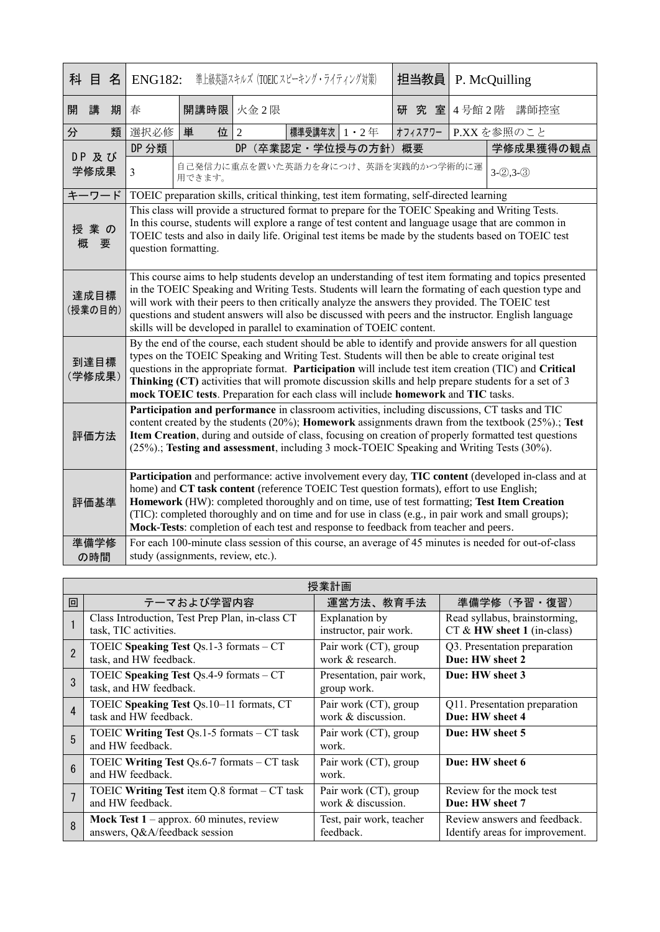| 科               | 目             | 名 | <b>ENG182:</b>                                                                                                                                                                                                                                                                                                                                                                                                                                                                                                                                                                                          |                                                                                          |                | 準上級英語スキルズ (TOEIC スピーキング・ライティング対策) |     | 担当教員       |           | P. McQuilling |
|-----------------|---------------|---|---------------------------------------------------------------------------------------------------------------------------------------------------------------------------------------------------------------------------------------------------------------------------------------------------------------------------------------------------------------------------------------------------------------------------------------------------------------------------------------------------------------------------------------------------------------------------------------------------------|------------------------------------------------------------------------------------------|----------------|-----------------------------------|-----|------------|-----------|---------------|
| 開               | 講             | 期 | 春                                                                                                                                                                                                                                                                                                                                                                                                                                                                                                                                                                                                       |                                                                                          | 開講時限 火金2限      |                                   | 研究室 | 4号館2階 講師控室 |           |               |
| 分               |               | 類 | 選択必修                                                                                                                                                                                                                                                                                                                                                                                                                                                                                                                                                                                                    | 単<br>位                                                                                   | $\overline{2}$ | 標準受講年次   1 · 2年                   |     | オフィスアワー    |           | P.XXを参照のこと    |
|                 | DP 及び<br>学修成果 |   | DP 分類                                                                                                                                                                                                                                                                                                                                                                                                                                                                                                                                                                                                   | (卒業認定·学位授与の方針) 概要<br>DP                                                                  |                |                                   |     |            | 学修成果獲得の観点 |               |
|                 |               |   | 3                                                                                                                                                                                                                                                                                                                                                                                                                                                                                                                                                                                                       | 自己発信力に重点を置いた英語力を身につけ、英語を実践的かつ学術的に運<br>$3-(2),3-(3)$<br>用できます。                            |                |                                   |     |            |           |               |
| キーワード           |               |   |                                                                                                                                                                                                                                                                                                                                                                                                                                                                                                                                                                                                         | TOEIC preparation skills, critical thinking, test item formating, self-directed learning |                |                                   |     |            |           |               |
| 概               | 授業の<br>要      |   | This class will provide a structured format to prepare for the TOEIC Speaking and Writing Tests.<br>In this course, students will explore a range of test content and language usage that are common in<br>TOEIC tests and also in daily life. Original test items be made by the students based on TOEIC test<br>question formatting.                                                                                                                                                                                                                                                                  |                                                                                          |                |                                   |     |            |           |               |
| 達成目標<br>(授業の目的) |               |   | This course aims to help students develop an understanding of test item formating and topics presented<br>in the TOEIC Speaking and Writing Tests. Students will learn the formating of each question type and<br>will work with their peers to then critically analyze the answers they provided. The TOEIC test<br>questions and student answers will also be discussed with peers and the instructor. English language<br>skills will be developed in parallel to examination of TOEIC content.                                                                                                      |                                                                                          |                |                                   |     |            |           |               |
| 到達目標<br>(学修成果)  |               |   | By the end of the course, each student should be able to identify and provide answers for all question<br>types on the TOEIC Speaking and Writing Test. Students will then be able to create original test<br>questions in the appropriate format. Participation will include test item creation (TIC) and Critical<br>Thinking (CT) activities that will promote discussion skills and help prepare students for a set of 3<br>mock TOEIC tests. Preparation for each class will include homework and TIC tasks.                                                                                       |                                                                                          |                |                                   |     |            |           |               |
| 評価方法            |               |   | Participation and performance in classroom activities, including discussions, CT tasks and TIC<br>content created by the students (20%); Homework assignments drawn from the textbook (25%).; Test<br>Item Creation, during and outside of class, focusing on creation of properly formatted test questions<br>(25%).; Testing and assessment, including 3 mock-TOEIC Speaking and Writing Tests (30%).                                                                                                                                                                                                 |                                                                                          |                |                                   |     |            |           |               |
| 評価基準<br>準備学修    |               |   | Participation and performance: active involvement every day, TIC content (developed in-class and at<br>home) and CT task content (reference TOEIC Test question formats), effort to use English;<br>Homework (HW): completed thoroughly and on time, use of test formatting; Test Item Creation<br>(TIC): completed thoroughly and on time and for use in class (e.g., in pair work and small groups);<br>Mock-Tests: completion of each test and response to feedback from teacher and peers.<br>For each 100-minute class session of this course, an average of 45 minutes is needed for out-of-class |                                                                                          |                |                                   |     |            |           |               |
|                 | の時間           |   |                                                                                                                                                                                                                                                                                                                                                                                                                                                                                                                                                                                                         | study (assignments, review, etc.).                                                       |                |                                   |     |            |           |               |

| 授業計画            |                                                                   |                                         |                                 |  |  |  |
|-----------------|-------------------------------------------------------------------|-----------------------------------------|---------------------------------|--|--|--|
| 回               | テーマおよび学習内容                                                        | 運営方法、教育手法                               | 準備学修 (予習·復習)                    |  |  |  |
|                 | Class Introduction, Test Prep Plan, in-class CT                   | Explanation by                          | Read syllabus, brainstorming,   |  |  |  |
|                 | task, TIC activities.                                             | instructor, pair work.                  | $CT$ & HW sheet 1 (in-class)    |  |  |  |
| $\mathfrak{p}$  | TOEIC Speaking Test Qs.1-3 formats - CT                           | Pair work (CT), group                   | Q3. Presentation preparation    |  |  |  |
|                 | task, and HW feedback.                                            | work & research.                        | Due: HW sheet 2                 |  |  |  |
| $\mathcal{R}$   | TOEIC Speaking Test Qs.4-9 formats - CT<br>task, and HW feedback. | Presentation, pair work,<br>group work. | Due: HW sheet 3                 |  |  |  |
| 4               | TOEIC Speaking Test Qs.10-11 formats, CT                          | Pair work (CT), group                   | Q11. Presentation preparation   |  |  |  |
|                 | task and HW feedback.                                             | work & discussion.                      | Due: HW sheet 4                 |  |  |  |
| 5               | TOEIC Writing Test Qs.1-5 formats - CT task<br>and HW feedback.   | Pair work (CT), group<br>work.          | Due: HW sheet 5                 |  |  |  |
| $6\overline{6}$ | TOEIC Writing Test Qs.6-7 formats - CT task<br>and HW feedback.   | Pair work (CT), group<br>work.          | Due: HW sheet 6                 |  |  |  |
|                 | TOEIC Writing Test item Q.8 format – CT task                      | Pair work (CT), group                   | Review for the mock test        |  |  |  |
|                 | and HW feedback.                                                  | work & discussion.                      | Due: HW sheet 7                 |  |  |  |
| 8               | Mock Test 1 - approx. 60 minutes, review                          | Test, pair work, teacher                | Review answers and feedback.    |  |  |  |
|                 | answers, Q&A/feedback session                                     | feedback.                               | Identify areas for improvement. |  |  |  |